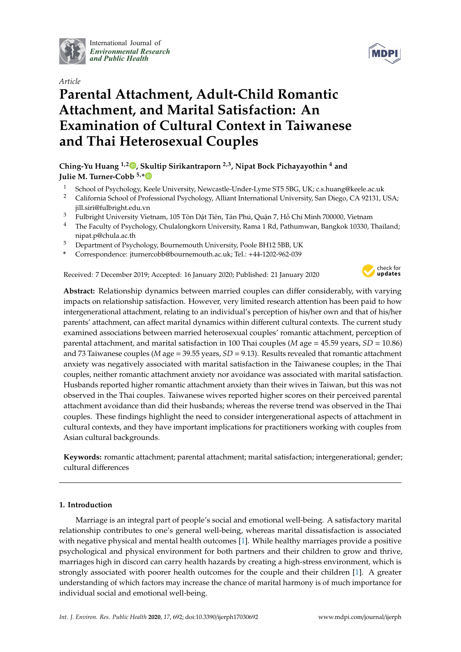

International Journal of *[Environmental Research](http://www.mdpi.com/journal/ijerph) and Public Health*



# **Parental Attachment, Adult-Child Romantic Attachment, and Marital Satisfaction: An Examination of Cultural Context in Taiwanese and Thai Heterosexual Couples**

# **Ching-Yu Huang 1,2 [,](https://orcid.org/0000-0001-5461-1657) Skultip Sirikantraporn 2,3, Nipat Bock Pichayayothin <sup>4</sup> and Julie M. Turner-Cobb 5,[\\*](https://orcid.org/0000-0002-3286-3244)**

- <sup>1</sup> School of Psychology, Keele University, Newcastle-Under-Lyme ST5 5BG, UK; c.s.huang@keele.ac.uk
- <sup>2</sup> California School of Professional Psychology, Alliant International University, San Diego, CA 92131, USA; jill.siri@fulbright.edu.vn
- <sup>3</sup> Fulbright University Vietnam, 105 Tôn Dât Tiên, Tân Phú, Quân 7, Hồ Chí Minh 700000, Vietnam
- <sup>4</sup> The Faculty of Psychology, Chulalongkorn University, Rama 1 Rd, Pathumwan, Bangkok 10330, Thailand; nipat.p@chula.ac.th
- <sup>5</sup> Department of Psychology, Bournemouth University, Poole BH12 5BB, UK
- **\*** Correspondence: jturnercobb@bournemouth.ac.uk; Tel.: +44-1202-962-039

Received: 7 December 2019; Accepted: 16 January 2020; Published: 21 January 2020



**Abstract:** Relationship dynamics between married couples can differ considerably, with varying impacts on relationship satisfaction. However, very limited research attention has been paid to how intergenerational attachment, relating to an individual's perception of his/her own and that of his/her parents' attachment, can affect marital dynamics within different cultural contexts. The current study examined associations between married heterosexual couples' romantic attachment, perception of parental attachment, and marital satisfaction in 100 Thai couples (*M* age = 45.59 years, *SD* = 10.86) and 73 Taiwanese couples (*M* age = 39.55 years, *SD* = 9.13). Results revealed that romantic attachment anxiety was negatively associated with marital satisfaction in the Taiwanese couples; in the Thai couples, neither romantic attachment anxiety nor avoidance was associated with marital satisfaction. Husbands reported higher romantic attachment anxiety than their wives in Taiwan, but this was not observed in the Thai couples. Taiwanese wives reported higher scores on their perceived parental attachment avoidance than did their husbands; whereas the reverse trend was observed in the Thai couples. These findings highlight the need to consider intergenerational aspects of attachment in cultural contexts, and they have important implications for practitioners working with couples from Asian cultural backgrounds.

**Keywords:** romantic attachment; parental attachment; marital satisfaction; intergenerational; gender; cultural differences

## **1. Introduction**

Marriage is an integral part of people's social and emotional well-being. A satisfactory marital relationship contributes to one's general well-being, whereas marital dissatisfaction is associated with negative physical and mental health outcomes [\[1\]](#page-10-0). While healthy marriages provide a positive psychological and physical environment for both partners and their children to grow and thrive, marriages high in discord can carry health hazards by creating a high-stress environment, which is strongly associated with poorer health outcomes for the couple and their children [\[1\]](#page-10-0). A greater understanding of which factors may increase the chance of marital harmony is of much importance for individual social and emotional well-being.

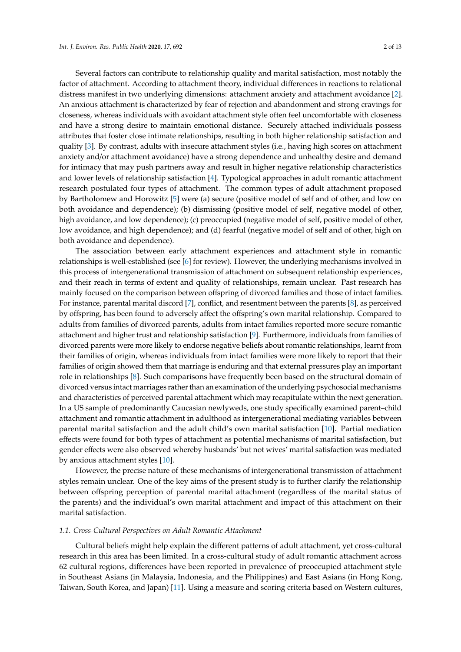Several factors can contribute to relationship quality and marital satisfaction, most notably the factor of attachment. According to attachment theory, individual differences in reactions to relational distress manifest in two underlying dimensions: attachment anxiety and attachment avoidance [\[2\]](#page-10-1). An anxious attachment is characterized by fear of rejection and abandonment and strong cravings for closeness, whereas individuals with avoidant attachment style often feel uncomfortable with closeness and have a strong desire to maintain emotional distance. Securely attached individuals possess attributes that foster close intimate relationships, resulting in both higher relationship satisfaction and quality [\[3\]](#page-10-2). By contrast, adults with insecure attachment styles (i.e., having high scores on attachment anxiety and/or attachment avoidance) have a strong dependence and unhealthy desire and demand for intimacy that may push partners away and result in higher negative relationship characteristics and lower levels of relationship satisfaction [\[4\]](#page-10-3). Typological approaches in adult romantic attachment research postulated four types of attachment. The common types of adult attachment proposed by Bartholomew and Horowitz [\[5\]](#page-10-4) were (a) secure (positive model of self and of other, and low on both avoidance and dependence); (b) dismissing (positive model of self, negative model of other, high avoidance, and low dependence); (c) preoccupied (negative model of self, positive model of other, low avoidance, and high dependence); and (d) fearful (negative model of self and of other, high on both avoidance and dependence).

The association between early attachment experiences and attachment style in romantic relationships is well-established (see [\[6\]](#page-10-5) for review). However, the underlying mechanisms involved in this process of intergenerational transmission of attachment on subsequent relationship experiences, and their reach in terms of extent and quality of relationships, remain unclear. Past research has mainly focused on the comparison between offspring of divorced families and those of intact families. For instance, parental marital discord [\[7\]](#page-10-6), conflict, and resentment between the parents [\[8\]](#page-10-7), as perceived by offspring, has been found to adversely affect the offspring's own marital relationship. Compared to adults from families of divorced parents, adults from intact families reported more secure romantic attachment and higher trust and relationship satisfaction [\[9\]](#page-10-8). Furthermore, individuals from families of divorced parents were more likely to endorse negative beliefs about romantic relationships, learnt from their families of origin, whereas individuals from intact families were more likely to report that their families of origin showed them that marriage is enduring and that external pressures play an important role in relationships [\[8\]](#page-10-7). Such comparisons have frequently been based on the structural domain of divorced versus intact marriages rather than an examination of the underlying psychosocial mechanisms and characteristics of perceived parental attachment which may recapitulate within the next generation. In a US sample of predominantly Caucasian newlyweds, one study specifically examined parent–child attachment and romantic attachment in adulthood as intergenerational mediating variables between parental marital satisfaction and the adult child's own marital satisfaction [\[10\]](#page-11-0). Partial mediation effects were found for both types of attachment as potential mechanisms of marital satisfaction, but gender effects were also observed whereby husbands' but not wives' marital satisfaction was mediated by anxious attachment styles [\[10\]](#page-11-0).

However, the precise nature of these mechanisms of intergenerational transmission of attachment styles remain unclear. One of the key aims of the present study is to further clarify the relationship between offspring perception of parental marital attachment (regardless of the marital status of the parents) and the individual's own marital attachment and impact of this attachment on their marital satisfaction.

#### *1.1. Cross-Cultural Perspectives on Adult Romantic Attachment*

Cultural beliefs might help explain the different patterns of adult attachment, yet cross-cultural research in this area has been limited. In a cross-cultural study of adult romantic attachment across 62 cultural regions, differences have been reported in prevalence of preoccupied attachment style in Southeast Asians (in Malaysia, Indonesia, and the Philippines) and East Asians (in Hong Kong, Taiwan, South Korea, and Japan) [\[11\]](#page-11-1). Using a measure and scoring criteria based on Western cultures,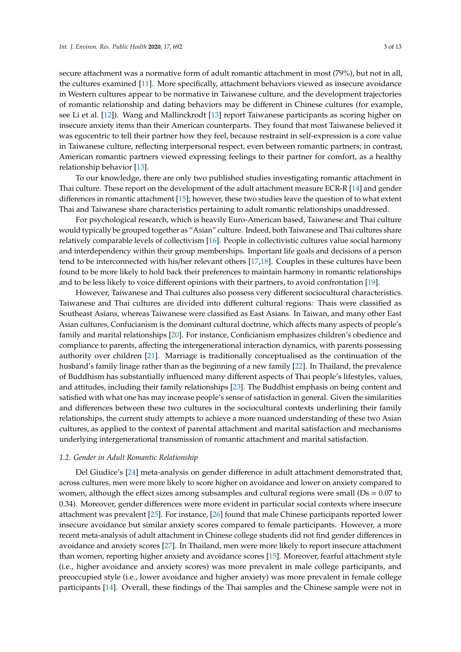secure attachment was a normative form of adult romantic attachment in most (79%), but not in all, the cultures examined [\[11\]](#page-11-1). More specifically, attachment behaviors viewed as insecure avoidance in Western cultures appear to be normative in Taiwanese culture, and the development trajectories of romantic relationship and dating behaviors may be different in Chinese cultures (for example, see Li et al. [\[12\]](#page-11-2)). Wang and Mallinckrodt [\[13\]](#page-11-3) report Taiwanese participants as scoring higher on insecure anxiety items than their American counterparts. They found that most Taiwanese believed it was egocentric to tell their partner how they feel, because restraint in self-expression is a core value in Taiwanese culture, reflecting interpersonal respect, even between romantic partners; in contrast, American romantic partners viewed expressing feelings to their partner for comfort, as a healthy relationship behavior [\[13\]](#page-11-3).

To our knowledge, there are only two published studies investigating romantic attachment in Thai culture. These report on the development of the adult attachment measure ECR-R [\[14\]](#page-11-4) and gender differences in romantic attachment [\[15\]](#page-11-5); however, these two studies leave the question of to what extent Thai and Taiwanese share characteristics pertaining to adult romantic relationships unaddressed.

For psychological research, which is heavily Euro-American based, Taiwanese and Thai culture would typically be grouped together as "Asian" culture. Indeed, both Taiwanese and Thai cultures share relatively comparable levels of collectivism [\[16\]](#page-11-6). People in collectivistic cultures value social harmony and interdependency within their group memberships. Important life goals and decisions of a person tend to be interconnected with his/her relevant others [\[17,](#page-11-7)[18\]](#page-11-8). Couples in these cultures have been found to be more likely to hold back their preferences to maintain harmony in romantic relationships and to be less likely to voice different opinions with their partners, to avoid confrontation [\[19\]](#page-11-9).

However, Taiwanese and Thai cultures also possess very different sociocultural characteristics. Taiwanese and Thai cultures are divided into different cultural regions: Thais were classified as Southeast Asians, whereas Taiwanese were classified as East Asians. In Taiwan, and many other East Asian cultures, Confucianism is the dominant cultural doctrine, which affects many aspects of people's family and marital relationships [\[20\]](#page-11-10). For instance, Conficianism emphasizes children's obedience and compliance to parents, affecting the intergenerational interaction dynamics, with parents possessing authority over children [\[21\]](#page-11-11). Marriage is traditionally conceptualised as the continuation of the husband's family linage rather than as the beginning of a new family [\[22\]](#page-11-12). In Thailand, the prevalence of Buddhism has substantially influenced many different aspects of Thai people's lifestyles, values, and attitudes, including their family relationships [\[23\]](#page-11-13). The Buddhist emphasis on being content and satisfied with what one has may increase people's sense of satisfaction in general. Given the similarities and differences between these two cultures in the sociocultural contexts underlining their family relationships, the current study attempts to achieve a more nuanced understanding of these two Asian cultures, as applied to the context of parental attachment and marital satisfaction and mechanisms underlying intergenerational transmission of romantic attachment and marital satisfaction.

#### *1.2. Gender in Adult Romantic Relationship*

Del Giudice's [\[24\]](#page-11-14) meta-analysis on gender difference in adult attachment demonstrated that, across cultures, men were more likely to score higher on avoidance and lower on anxiety compared to women, although the effect sizes among subsamples and cultural regions were small (Ds = 0.07 to 0.34). Moreover, gender differences were more evident in particular social contexts where insecure attachment was prevalent [\[25\]](#page-11-15). For instance, [\[26\]](#page-11-16) found that male Chinese participants reported lower insecure avoidance but similar anxiety scores compared to female participants. However, a more recent meta-analysis of adult attachment in Chinese college students did not find gender differences in avoidance and anxiety scores [\[27\]](#page-11-17). In Thailand, men were more likely to report insecure attachment than women, reporting higher anxiety and avoidance scores [\[15\]](#page-11-5). Moreover, fearful attachment style (i.e., higher avoidance and anxiety scores) was more prevalent in male college participants, and preoccupied style (i.e., lower avoidance and higher anxiety) was more prevalent in female college participants [\[14\]](#page-11-4). Overall, these findings of the Thai samples and the Chinese sample were not in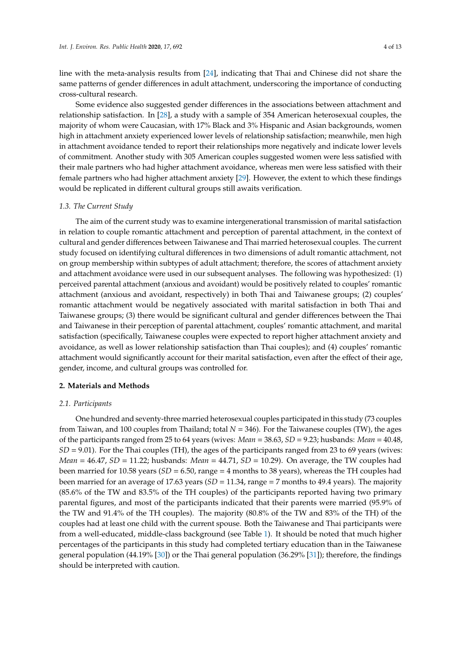line with the meta-analysis results from [\[24\]](#page-11-14), indicating that Thai and Chinese did not share the same patterns of gender differences in adult attachment, underscoring the importance of conducting cross-cultural research.

Some evidence also suggested gender differences in the associations between attachment and relationship satisfaction. In [\[28\]](#page-11-18), a study with a sample of 354 American heterosexual couples, the majority of whom were Caucasian, with 17% Black and 3% Hispanic and Asian backgrounds, women high in attachment anxiety experienced lower levels of relationship satisfaction; meanwhile, men high in attachment avoidance tended to report their relationships more negatively and indicate lower levels of commitment. Another study with 305 American couples suggested women were less satisfied with their male partners who had higher attachment avoidance, whereas men were less satisfied with their female partners who had higher attachment anxiety [\[29\]](#page-11-19). However, the extent to which these findings would be replicated in different cultural groups still awaits verification.

### *1.3. The Current Study*

The aim of the current study was to examine intergenerational transmission of marital satisfaction in relation to couple romantic attachment and perception of parental attachment, in the context of cultural and gender differences between Taiwanese and Thai married heterosexual couples. The current study focused on identifying cultural differences in two dimensions of adult romantic attachment, not on group membership within subtypes of adult attachment; therefore, the scores of attachment anxiety and attachment avoidance were used in our subsequent analyses. The following was hypothesized: (1) perceived parental attachment (anxious and avoidant) would be positively related to couples' romantic attachment (anxious and avoidant, respectively) in both Thai and Taiwanese groups; (2) couples' romantic attachment would be negatively associated with marital satisfaction in both Thai and Taiwanese groups; (3) there would be significant cultural and gender differences between the Thai and Taiwanese in their perception of parental attachment, couples' romantic attachment, and marital satisfaction (specifically, Taiwanese couples were expected to report higher attachment anxiety and avoidance, as well as lower relationship satisfaction than Thai couples); and (4) couples' romantic attachment would significantly account for their marital satisfaction, even after the effect of their age, gender, income, and cultural groups was controlled for.

## **2. Materials and Methods**

### *2.1. Participants*

One hundred and seventy-three married heterosexual couples participated in this study (73 couples from Taiwan, and 100 couples from Thailand; total *N* = 346). For the Taiwanese couples (TW), the ages of the participants ranged from 25 to 64 years (wives: *Mean* = 38.63, *SD* = 9.23; husbands: *Mean* = 40.48, *SD* = 9.01). For the Thai couples (TH), the ages of the participants ranged from 23 to 69 years (wives: *Mean* = 46.47, *SD* = 11.22; husbands: *Mean* = 44.71, *SD* = 10.29). On average, the TW couples had been married for 10.58 years (*SD* = 6.50, range = 4 months to 38 years), whereas the TH couples had been married for an average of 17.63 years (*SD* = 11.34, range = 7 months to 49.4 years). The majority (85.6% of the TW and 83.5% of the TH couples) of the participants reported having two primary parental figures, and most of the participants indicated that their parents were married (95.9% of the TW and 91.4% of the TH couples). The majority (80.8% of the TW and 83% of the TH) of the couples had at least one child with the current spouse. Both the Taiwanese and Thai participants were from a well-educated, middle-class background (see Table [1\)](#page-4-0). It should be noted that much higher percentages of the participants in this study had completed tertiary education than in the Taiwanese general population (44.19% [\[30\]](#page-11-20)) or the Thai general population (36.29% [\[31\]](#page-11-21)); therefore, the findings should be interpreted with caution.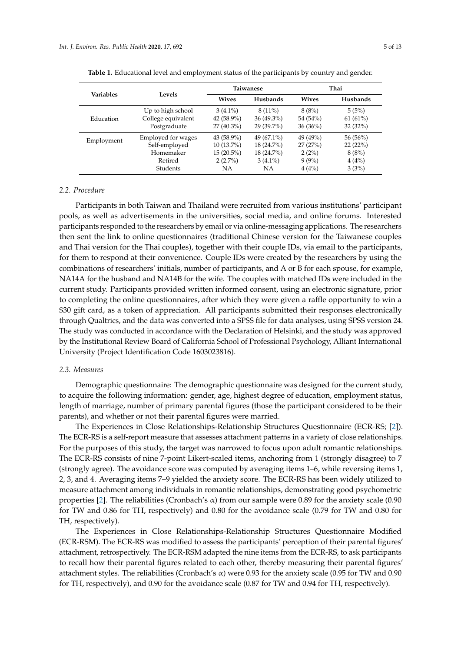|            |                    |               | Taiwanese    | Thai         |          |  |
|------------|--------------------|---------------|--------------|--------------|----------|--|
| Variables  | <b>Levels</b>      | <b>Wives</b>  | Husbands     | <b>Wives</b> | Husbands |  |
|            | Up to high school  | $3(4.1\%)$    | $8(11\%)$    | 8(8%)        | 5(5%)    |  |
| Education  | College equivalent | 42 $(58.9\%)$ | $36(49.3\%)$ | 54 (54%)     | 61(61%)  |  |
|            | Postgraduate       | $27(40.3\%)$  | $29(39.7\%)$ | 36(36%)      | 32(32%)  |  |
| Employment | Employed for wages | 43 (58.9%)    | 49 (67.1%)   | 49 (49%)     | 56 (56%) |  |
|            | Self-employed      | 10 (13.7%)    | 18 (24.7%)   | 27(27%)      | 22(22%)  |  |
|            | Homemaker          | $15(20.5\%)$  | 18 (24.7%)   | 2(2%)        | 8(8%)    |  |
|            | Retired            | $2(2.7\%)$    | $3(4.1\%)$   | $9(9\%)$     | 4(4%)    |  |
|            | Students           | NА            | NА           | 4(4%)        | 3(3%)    |  |

<span id="page-4-0"></span>

| Table 1. Educational level and employment status of the participants by country and gender. |  |
|---------------------------------------------------------------------------------------------|--|
|---------------------------------------------------------------------------------------------|--|

#### *2.2. Procedure*

Participants in both Taiwan and Thailand were recruited from various institutions' participant pools, as well as advertisements in the universities, social media, and online forums. Interested participants responded to the researchers by email or via online-messaging applications. The researchers then sent the link to online questionnaires (traditional Chinese version for the Taiwanese couples and Thai version for the Thai couples), together with their couple IDs, via email to the participants, for them to respond at their convenience. Couple IDs were created by the researchers by using the combinations of researchers' initials, number of participants, and A or B for each spouse, for example, NA14A for the husband and NA14B for the wife. The couples with matched IDs were included in the current study. Participants provided written informed consent, using an electronic signature, prior to completing the online questionnaires, after which they were given a raffle opportunity to win a \$30 gift card, as a token of appreciation. All participants submitted their responses electronically through Qualtrics, and the data was converted into a SPSS file for data analyses, using SPSS version 24. The study was conducted in accordance with the Declaration of Helsinki, and the study was approved by the Institutional Review Board of California School of Professional Psychology, Alliant International University (Project Identification Code 1603023816).

## *2.3. Measures*

Demographic questionnaire: The demographic questionnaire was designed for the current study, to acquire the following information: gender, age, highest degree of education, employment status, length of marriage, number of primary parental figures (those the participant considered to be their parents), and whether or not their parental figures were married.

The Experiences in Close Relationships-Relationship Structures Questionnaire (ECR-RS; [\[2\]](#page-10-1)). The ECR-RS is a self-report measure that assesses attachment patterns in a variety of close relationships. For the purposes of this study, the target was narrowed to focus upon adult romantic relationships. The ECR-RS consists of nine 7-point Likert-scaled items, anchoring from 1 (strongly disagree) to 7 (strongly agree). The avoidance score was computed by averaging items 1–6, while reversing items 1, 2, 3, and 4. Averaging items 7–9 yielded the anxiety score. The ECR-RS has been widely utilized to measure attachment among individuals in romantic relationships, demonstrating good psychometric properties [\[2\]](#page-10-1). The reliabilities (Cronbach's α) from our sample were 0.89 for the anxiety scale (0.90 for TW and 0.86 for TH, respectively) and 0.80 for the avoidance scale (0.79 for TW and 0.80 for TH, respectively).

The Experiences in Close Relationships-Relationship Structures Questionnaire Modified (ECR-RSM). The ECR-RS was modified to assess the participants' perception of their parental figures' attachment, retrospectively. The ECR-RSM adapted the nine items from the ECR-RS, to ask participants to recall how their parental figures related to each other, thereby measuring their parental figures' attachment styles. The reliabilities (Cronbach's α) were 0.93 for the anxiety scale (0.95 for TW and 0.90 for TH, respectively), and 0.90 for the avoidance scale (0.87 for TW and 0.94 for TH, respectively).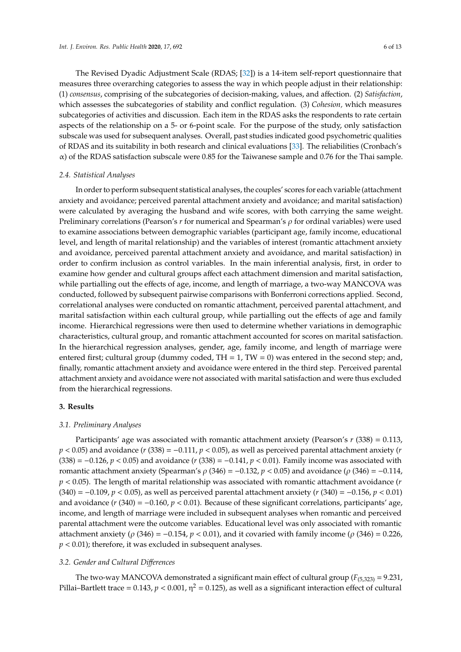The Revised Dyadic Adjustment Scale (RDAS; [\[32\]](#page-11-22)) is a 14-item self-report questionnaire that measures three overarching categories to assess the way in which people adjust in their relationship: (1) *consensus*, comprising of the subcategories of decision-making, values, and affection. (2) *Satisfaction*, which assesses the subcategories of stability and conflict regulation. (3) *Cohesion,* which measures subcategories of activities and discussion. Each item in the RDAS asks the respondents to rate certain aspects of the relationship on a 5- or 6-point scale. For the purpose of the study, only satisfaction subscale was used for subsequent analyses. Overall, past studies indicated good psychometric qualities of RDAS and its suitability in both research and clinical evaluations [\[33\]](#page-11-23). The reliabilities (Cronbach's  $\alpha$ ) of the RDAS satisfaction subscale were 0.85 for the Taiwanese sample and 0.76 for the Thai sample.

## *2.4. Statistical Analyses*

In order to perform subsequent statistical analyses, the couples' scores for each variable (attachment anxiety and avoidance; perceived parental attachment anxiety and avoidance; and marital satisfaction) were calculated by averaging the husband and wife scores, with both carrying the same weight. Preliminary correlations (Pearson's *r* for numerical and Spearman's ρ for ordinal variables) were used to examine associations between demographic variables (participant age, family income, educational level, and length of marital relationship) and the variables of interest (romantic attachment anxiety and avoidance, perceived parental attachment anxiety and avoidance, and marital satisfaction) in order to confirm inclusion as control variables. In the main inferential analysis, first, in order to examine how gender and cultural groups affect each attachment dimension and marital satisfaction, while partialling out the effects of age, income, and length of marriage, a two-way MANCOVA was conducted, followed by subsequent pairwise comparisons with Bonferroni corrections applied. Second, correlational analyses were conducted on romantic attachment, perceived parental attachment, and marital satisfaction within each cultural group, while partialling out the effects of age and family income. Hierarchical regressions were then used to determine whether variations in demographic characteristics, cultural group, and romantic attachment accounted for scores on marital satisfaction. In the hierarchical regression analyses, gender, age, family income, and length of marriage were entered first; cultural group (dummy coded,  $TH = 1$ ,  $TW = 0$ ) was entered in the second step; and, finally, romantic attachment anxiety and avoidance were entered in the third step. Perceived parental attachment anxiety and avoidance were not associated with marital satisfaction and were thus excluded from the hierarchical regressions.

## **3. Results**

## *3.1. Preliminary Analyses*

Participants' age was associated with romantic attachment anxiety (Pearson's *r* (338) = 0.113, *p* < 0.05) and avoidance (*r* (338) = −0.111, *p* < 0.05), as well as perceived parental attachment anxiety (*r* (338) = −0.126, *p* < 0.05) and avoidance (*r* (338) = −0.141, *p* < 0.01). Family income was associated with romantic attachment anxiety (Spearman's ρ (346) = −0.132, *p* < 0.05) and avoidance (ρ (346) = −0.114, *p* < 0.05). The length of marital relationship was associated with romantic attachment avoidance (*r* (340) = −0.109, *p* < 0.05), as well as perceived parental attachment anxiety (*r* (340) = −0.156, *p* < 0.01) and avoidance (*r* (340) = −0.160, *p* < 0.01). Because of these significant correlations, participants' age, income, and length of marriage were included in subsequent analyses when romantic and perceived parental attachment were the outcome variables. Educational level was only associated with romantic attachment anxiety ( $\rho$  (346) = −0.154,  $p$  < 0.01), and it covaried with family income ( $\rho$  (346) = 0.226, *p* < 0.01); therefore, it was excluded in subsequent analyses.

## *3.2. Gender and Cultural Di*ff*erences*

The two-way MANCOVA demonstrated a significant main effect of cultural group  $(F_{(5,323)} = 9.231$ , Pillai–Bartlett trace = 0.143,  $p < 0.001$ ,  $\eta^2 = 0.125$ ), as well as a significant interaction effect of cultural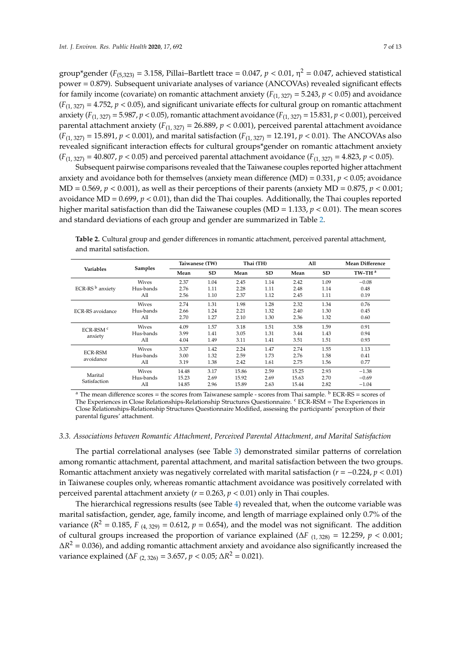group\*gender ( $F_{(5,323)} = 3.158$ , Pillai–Bartlett trace = 0.047,  $p < 0.01$ ,  $\eta^2 = 0.047$ , achieved statistical power = 0.879). Subsequent univariate analyses of variance (ANCOVAs) revealed significant effects for family income (covariate) on romantic attachment anxiety  $(F_{(1, 327)} = 5.243, p < 0.05)$  and avoidance  $(F_{(1, 327)} = 4.752, p < 0.05)$ , and significant univariate effects for cultural group on romantic attachment anxiety ( $F_{(1, 327)} = 5.987$ ,  $p < 0.05$ ), romantic attachment avoidance ( $F_{(1, 327)} = 15.831$ ,  $p < 0.001$ ), perceived parental attachment anxiety ( $F_{(1, 327)} = 26.889$ ,  $p < 0.001$ ), perceived parental attachment avoidance  $(F_{(1, 327)} = 15.891, p < 0.001)$ , and marital satisfaction  $(F_{(1, 327)} = 12.191, p < 0.01)$ . The ANCOVAs also revealed significant interaction effects for cultural groups\*gender on romantic attachment anxiety  $(F_{(1, 327)} = 40.807, p < 0.05)$  and perceived parental attachment avoidance  $(F_{(1, 327)} = 4.823, p < 0.05)$ .

Subsequent pairwise comparisons revealed that the Taiwanese couples reported higher attachment anxiety and avoidance both for themselves (anxiety mean difference  $(MD) = 0.331$ ,  $p < 0.05$ ; avoidance  $MD = 0.569$ ,  $p < 0.001$ ), as well as their perceptions of their parents (anxiety  $MD = 0.875$ ,  $p < 0.001$ ; avoidance MD = 0.699, *p* < 0.01), than did the Thai couples. Additionally, the Thai couples reported higher marital satisfaction than did the Taiwanese couples (MD = 1.133,  $p < 0.01$ ). The mean scores and standard deviations of each group and gender are summarized in Table [2.](#page-6-0)

|                    |              | Taiwanese (TW) |           | Thai (TH) |           | All   |           | Mean Difference    |
|--------------------|--------------|----------------|-----------|-----------|-----------|-------|-----------|--------------------|
| Variables          | Samples      | Mean           | <b>SD</b> | Mean      | <b>SD</b> | Mean  | <b>SD</b> | TW-TH <sup>a</sup> |
|                    | Wives        | 2.37           | 1.04      | 2.45      | 1.14      | 2.42  | 1.09      | $-0.08$            |
| ECR-RS $b$ anxiety | Hus-bands    | 2.76           | 1.11      | 2.28      | 1.11      | 2.48  | 1.14      | 0.48               |
|                    | All          | 2.56           | 1.10      | 2.37      | 1.12      | 2.45  | 1.11      | 0.19               |
|                    | <b>Wives</b> | 2.74           | 1.31      | 1.98      | 1.28      | 2.32  | 1.34      | 0.76               |
| ECR-RS avoidance   | Hus-bands    | 2.66           | 1.24      | 2.21      | 1.32      | 2.40  | 1.30      | 0.45               |
|                    | All          | 2.70           | 1.27      | 2.10      | 1.30      | 2.36  | 1.32      | 0.60               |
| ECR-RSM $c$        | Wives        | 4.09           | 1.57      | 3.18      | 1.51      | 3.58  | 1.59      | 0.91               |
| anxiety            | Hus-bands    | 3.99           | 1.41      | 3.05      | 1.31      | 3.44  | 1.43      | 0.94               |
|                    | All          | 4.04           | 1.49      | 3.11      | 1.41      | 3.51  | 1.51      | 0.93               |
|                    | <b>Wives</b> | 3.37           | 1.42      | 2.24      | 1.47      | 2.74  | 1.55      | 1.13               |
| <b>ECR-RSM</b>     | Hus-bands    | 3.00           | 1.32      | 2.59      | 1.73      | 2.76  | 1.58      | 0.41               |
| avoidance          | All          | 3.19           | 1.38      | 2.42      | 1.61      | 2.75  | 1.56      | 0.77               |
|                    | Wives        | 14.48          | 3.17      | 15.86     | 2.59      | 15.25 | 2.93      | $-1.38$            |
| Marital            | Hus-bands    | 15.23          | 2.69      | 15.92     | 2.69      | 15.63 | 2.70      | $-0.69$            |
| Satisfaction       | All          | 14.85          | 2.96      | 15.89     | 2.63      | 15.44 | 2.82      | $-1.04$            |

<span id="page-6-0"></span>**Table 2.** Cultural group and gender differences in romantic attachment, perceived parental attachment, and marital satisfaction.

<sup>a</sup> The mean difference scores = the scores from Taiwanese sample - scores from Thai sample. <sup>b</sup> ECR-RS = scores of The Experiences in Close Relationships-Relationship Structures Questionnaire. <sup>c</sup> ECR-RSM = The Experiences in Close Relationships-Relationship Structures Questionnaire Modified, assessing the participants' perception of their parental figures' attachment.

#### *3.3. Associations between Romantic Attachment, Perceived Parental Attachment, and Marital Satisfaction*

The partial correlational analyses (see Table [3\)](#page-7-0) demonstrated similar patterns of correlation among romantic attachment, parental attachment, and marital satisfaction between the two groups. Romantic attachment anxiety was negatively correlated with marital satisfaction (*r* = −0.224, *p* < 0.01) in Taiwanese couples only, whereas romantic attachment avoidance was positively correlated with perceived parental attachment anxiety (*r* = 0.263, *p* < 0.01) only in Thai couples.

The hierarchical regressions results (see Table [4\)](#page-7-1) revealed that, when the outcome variable was marital satisfaction, gender, age, family income, and length of marriage explained only 0.7% of the variance ( $R^2 = 0.185$ ,  $F_{(4, 329)} = 0.612$ ,  $p = 0.654$ ), and the model was not significant. The addition of cultural groups increased the proportion of variance explained (∆*F* (1, 328) = 12.259, *p* < 0.001;  $\Delta R^2$  = 0.036), and adding romantic attachment anxiety and avoidance also significantly increased the variance explained ( $\Delta F_{(2, 326)} = 3.657$ ,  $p < 0.05$ ;  $\Delta R^2 = 0.021$ ).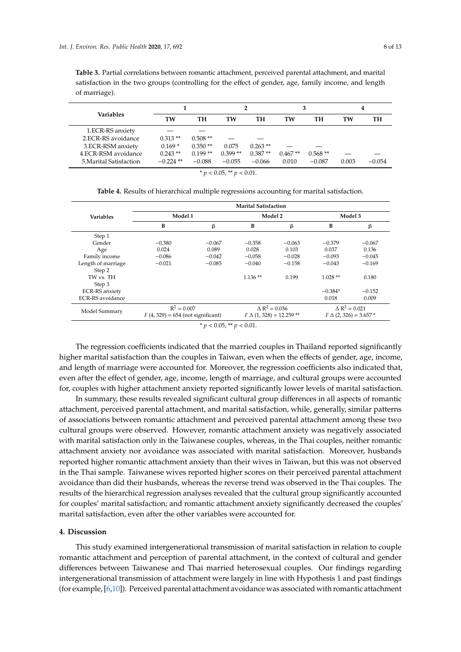<span id="page-7-0"></span>**Table 3.** Partial correlations between romantic attachment, perceived parental attachment, and marital satisfaction in the two groups (controlling for the effect of gender, age, family income, and length of marriage).

|                         |             |           |           |            |           |           | 4     |          |
|-------------------------|-------------|-----------|-----------|------------|-----------|-----------|-------|----------|
| <b>Variables</b>        | TW          | TH        | TW        | TH         | TW        | TH        | TW    | TH       |
| 1.ECR-RS anxiety        |             |           |           |            |           |           |       |          |
| 2.ECR-RS avoidance      | $0.313**$   | $0.508**$ |           |            |           |           |       |          |
| 3.ECR-RSM anxiety       | $0.169*$    | $0.350**$ | 0.075     | $0.263$ ** |           |           |       |          |
| 4.ECR-RSM avoidance     | $0.243**$   | $0.199**$ | $0.399**$ | $0.387**$  | $0.467**$ | $0.568**$ |       |          |
| 5. Marital Satisfaction | $-0.224$ ** | $-0.088$  | $-0.055$  | $-0.066$   | 0.010     | $-0.087$  | 0.003 | $-0.054$ |

|  |  |  |  | * $p < 0.05$ , ** $p < 0.01$ . |  |  |  |  |  |  |
|--|--|--|--|--------------------------------|--|--|--|--|--|--|
|--|--|--|--|--------------------------------|--|--|--|--|--|--|

<span id="page-7-1"></span>

|                         | <b>Marital Satisfaction</b>                          |          |                                |          |                               |          |  |  |  |  |
|-------------------------|------------------------------------------------------|----------|--------------------------------|----------|-------------------------------|----------|--|--|--|--|
| <b>Variables</b>        | Model 1                                              |          | Model 2                        |          | Model 3                       |          |  |  |  |  |
|                         | B                                                    | β        | B                              | β        | В                             | β        |  |  |  |  |
| Step 1                  |                                                      |          |                                |          |                               |          |  |  |  |  |
| Gender                  | $-0.380$                                             | $-0.067$ | $-0.358$                       | $-0.063$ | $-0.379$                      | $-0.067$ |  |  |  |  |
| Age                     | 0.024                                                | 0.089    | 0.028                          | 0.103    | 0.037                         | 0.136    |  |  |  |  |
| Family income           | $-0.086$                                             | $-0.042$ | $-0.058$                       | $-0.028$ | $-0.093$                      | $-0.045$ |  |  |  |  |
| Length of marriage      | $-0.021$                                             | $-0.085$ | $-0.040$                       | $-0.158$ | $-0.043$                      | $-0.169$ |  |  |  |  |
| Step 2                  |                                                      |          |                                |          |                               |          |  |  |  |  |
| TW vs. TH               |                                                      |          | $1.136**$                      | 0.199    | $1.028**$                     | 0.180    |  |  |  |  |
| Step 3                  |                                                      |          |                                |          |                               |          |  |  |  |  |
| <b>ECR-RS</b> anxiety   |                                                      |          |                                |          | $-0.384*$                     | $-0.152$ |  |  |  |  |
| <b>ECR-RS</b> avoidance |                                                      |          |                                |          | 0.018                         | 0.009    |  |  |  |  |
| Model Summary           | $R^2 = 0.007$<br>$F(4, 329) = 654$ (not significant) |          | $\Delta R^2 = 0.036$           |          | $\triangle R^2 = 0.021$       |          |  |  |  |  |
|                         |                                                      |          | $F \Delta (1,328) = 12.259$ ** |          | $F \Delta (2, 326) = 3.657$ * |          |  |  |  |  |

**Table 4.** Results of hierarchical multiple regressions accounting for marital satisfaction.

 $* p < 0.05$ ,  $* p < 0.01$ .

The regression coefficients indicated that the married couples in Thailand reported significantly higher marital satisfaction than the couples in Taiwan, even when the effects of gender, age, income, and length of marriage were accounted for. Moreover, the regression coefficients also indicated that, even after the effect of gender, age, income, length of marriage, and cultural groups were accounted for, couples with higher attachment anxiety reported significantly lower levels of marital satisfaction.

In summary, these results revealed significant cultural group differences in all aspects of romantic attachment, perceived parental attachment, and marital satisfaction, while, generally, similar patterns of associations between romantic attachment and perceived parental attachment among these two cultural groups were observed. However, romantic attachment anxiety was negatively associated with marital satisfaction only in the Taiwanese couples, whereas, in the Thai couples, neither romantic attachment anxiety nor avoidance was associated with marital satisfaction. Moreover, husbands reported higher romantic attachment anxiety than their wives in Taiwan, but this was not observed in the Thai sample. Taiwanese wives reported higher scores on their perceived parental attachment avoidance than did their husbands, whereas the reverse trend was observed in the Thai couples. The results of the hierarchical regression analyses revealed that the cultural group significantly accounted for couples' marital satisfaction; and romantic attachment anxiety significantly decreased the couples' marital satisfaction, even after the other variables were accounted for.

### **4. Discussion**

This study examined intergenerational transmission of marital satisfaction in relation to couple romantic attachment and perception of parental attachment, in the context of cultural and gender differences between Taiwanese and Thai married heterosexual couples. Our findings regarding intergenerational transmission of attachment were largely in line with Hypothesis 1 and past findings (for example, [\[6](#page-10-5)[,10\]](#page-11-0)). Perceived parental attachment avoidance was associated with romantic attachment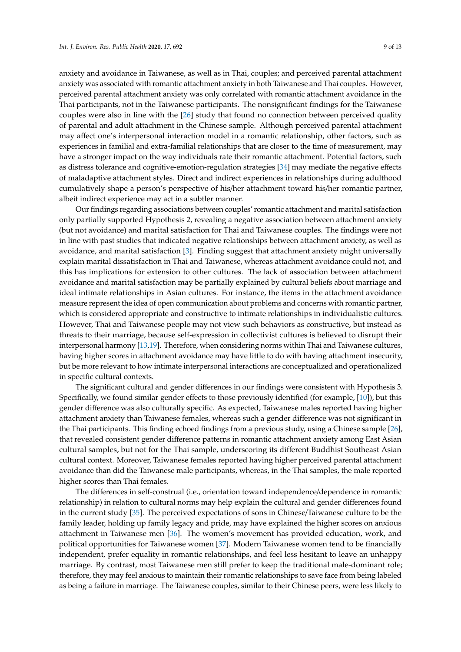anxiety and avoidance in Taiwanese, as well as in Thai, couples; and perceived parental attachment anxiety was associated with romantic attachment anxiety in both Taiwanese and Thai couples. However, perceived parental attachment anxiety was only correlated with romantic attachment avoidance in the Thai participants, not in the Taiwanese participants. The nonsignificant findings for the Taiwanese couples were also in line with the [\[26\]](#page-11-16) study that found no connection between perceived quality of parental and adult attachment in the Chinese sample. Although perceived parental attachment may affect one's interpersonal interaction model in a romantic relationship, other factors, such as experiences in familial and extra-familial relationships that are closer to the time of measurement, may have a stronger impact on the way individuals rate their romantic attachment. Potential factors, such as distress tolerance and cognitive-emotion-regulation strategies [\[34\]](#page-11-24) may mediate the negative effects of maladaptive attachment styles. Direct and indirect experiences in relationships during adulthood cumulatively shape a person's perspective of his/her attachment toward his/her romantic partner, albeit indirect experience may act in a subtler manner.

Our findings regarding associations between couples' romantic attachment and marital satisfaction only partially supported Hypothesis 2, revealing a negative association between attachment anxiety (but not avoidance) and marital satisfaction for Thai and Taiwanese couples. The findings were not in line with past studies that indicated negative relationships between attachment anxiety, as well as avoidance, and marital satisfaction [\[3\]](#page-10-2). Finding suggest that attachment anxiety might universally explain marital dissatisfaction in Thai and Taiwanese, whereas attachment avoidance could not, and this has implications for extension to other cultures. The lack of association between attachment avoidance and marital satisfaction may be partially explained by cultural beliefs about marriage and ideal intimate relationships in Asian cultures. For instance, the items in the attachment avoidance measure represent the idea of open communication about problems and concerns with romantic partner, which is considered appropriate and constructive to intimate relationships in individualistic cultures. However, Thai and Taiwanese people may not view such behaviors as constructive, but instead as threats to their marriage, because self-expression in collectivist cultures is believed to disrupt their interpersonal harmony [\[13](#page-11-3)[,19\]](#page-11-9). Therefore, when considering norms within Thai and Taiwanese cultures, having higher scores in attachment avoidance may have little to do with having attachment insecurity, but be more relevant to how intimate interpersonal interactions are conceptualized and operationalized in specific cultural contexts.

The significant cultural and gender differences in our findings were consistent with Hypothesis 3. Specifically, we found similar gender effects to those previously identified (for example, [\[10\]](#page-11-0)), but this gender difference was also culturally specific. As expected, Taiwanese males reported having higher attachment anxiety than Taiwanese females, whereas such a gender difference was not significant in the Thai participants. This finding echoed findings from a previous study, using a Chinese sample [\[26\]](#page-11-16), that revealed consistent gender difference patterns in romantic attachment anxiety among East Asian cultural samples, but not for the Thai sample, underscoring its different Buddhist Southeast Asian cultural context. Moreover, Taiwanese females reported having higher perceived parental attachment avoidance than did the Taiwanese male participants, whereas, in the Thai samples, the male reported higher scores than Thai females.

The differences in self-construal (i.e., orientation toward independence/dependence in romantic relationship) in relation to cultural norms may help explain the cultural and gender differences found in the current study [\[35\]](#page-12-0). The perceived expectations of sons in Chinese/Taiwanese culture to be the family leader, holding up family legacy and pride, may have explained the higher scores on anxious attachment in Taiwanese men [\[36\]](#page-12-1). The women's movement has provided education, work, and political opportunities for Taiwanese women [\[37\]](#page-12-2). Modern Taiwanese women tend to be financially independent, prefer equality in romantic relationships, and feel less hesitant to leave an unhappy marriage. By contrast, most Taiwanese men still prefer to keep the traditional male-dominant role; therefore, they may feel anxious to maintain their romantic relationships to save face from being labeled as being a failure in marriage. The Taiwanese couples, similar to their Chinese peers, were less likely to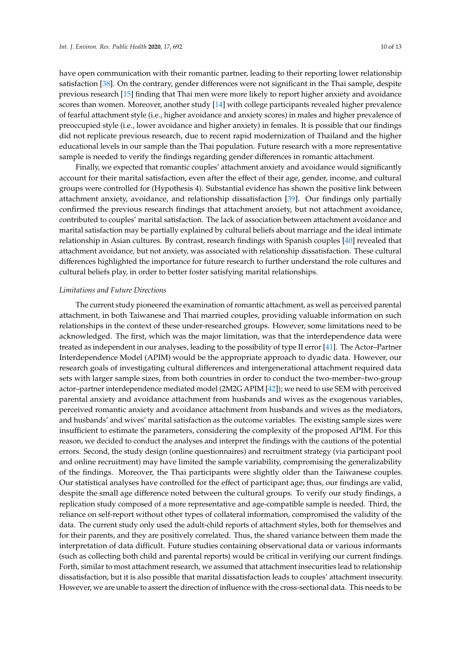have open communication with their romantic partner, leading to their reporting lower relationship satisfaction [\[38\]](#page-12-3). On the contrary, gender differences were not significant in the Thai sample, despite previous research [\[15\]](#page-11-5) finding that Thai men were more likely to report higher anxiety and avoidance scores than women. Moreover, another study [\[14\]](#page-11-4) with college participants revealed higher prevalence of fearful attachment style (i.e., higher avoidance and anxiety scores) in males and higher prevalence of preoccupied style (i.e., lower avoidance and higher anxiety) in females. It is possible that our findings did not replicate previous research, due to recent rapid modernization of Thailand and the higher educational levels in our sample than the Thai population. Future research with a more representative sample is needed to verify the findings regarding gender differences in romantic attachment.

Finally, we expected that romantic couples' attachment anxiety and avoidance would significantly account for their marital satisfaction, even after the effect of their age, gender, income, and cultural groups were controlled for (Hypothesis 4). Substantial evidence has shown the positive link between attachment anxiety, avoidance, and relationship dissatisfaction [\[39\]](#page-12-4). Our findings only partially confirmed the previous research findings that attachment anxiety, but not attachment avoidance, contributed to couples' marital satisfaction. The lack of association between attachment avoidance and marital satisfaction may be partially explained by cultural beliefs about marriage and the ideal intimate relationship in Asian cultures. By contrast, research findings with Spanish couples [\[40\]](#page-12-5) revealed that attachment avoidance, but not anxiety, was associated with relationship dissatisfaction. These cultural differences highlighted the importance for future research to further understand the role cultures and cultural beliefs play, in order to better foster satisfying marital relationships.

#### *Limitations and Future Directions*

The current study pioneered the examination of romantic attachment, as well as perceived parental attachment, in both Taiwanese and Thai married couples, providing valuable information on such relationships in the context of these under-researched groups. However, some limitations need to be acknowledged. The first, which was the major limitation, was that the interdependence data were treated as independent in our analyses, leading to the possibility of type II error [\[41\]](#page-12-6). The Actor–Partner Interdependence Model (APIM) would be the appropriate approach to dyadic data. However, our research goals of investigating cultural differences and intergenerational attachment required data sets with larger sample sizes, from both countries in order to conduct the two-member–two-group actor–partner interdependence mediated model (2M2G APIM [\[42\]](#page-12-7)); we need to use SEM with perceived parental anxiety and avoidance attachment from husbands and wives as the exogenous variables, perceived romantic anxiety and avoidance attachment from husbands and wives as the mediators, and husbands' and wives' marital satisfaction as the outcome variables. The existing sample sizes were insufficient to estimate the parameters, considering the complexity of the proposed APIM. For this reason, we decided to conduct the analyses and interpret the findings with the cautions of the potential errors. Second, the study design (online questionnaires) and recruitment strategy (via participant pool and online recruitment) may have limited the sample variability, compromising the generalizability of the findings. Moreover, the Thai participants were slightly older than the Taiwanese couples. Our statistical analyses have controlled for the effect of participant age; thus, our findings are valid, despite the small age difference noted between the cultural groups. To verify our study findings, a replication study composed of a more representative and age-compatible sample is needed. Third, the reliance on self-report without other types of collateral information, compromised the validity of the data. The current study only used the adult-child reports of attachment styles, both for themselves and for their parents, and they are positively correlated. Thus, the shared variance between them made the interpretation of data difficult. Future studies containing observational data or various informants (such as collecting both child and parental reports) would be critical in verifying our current findings. Forth, similar to most attachment research, we assumed that attachment insecurities lead to relationship dissatisfaction, but it is also possible that marital dissatisfaction leads to couples' attachment insecurity. However, we are unable to assert the direction of influence with the cross-sectional data. This needs to be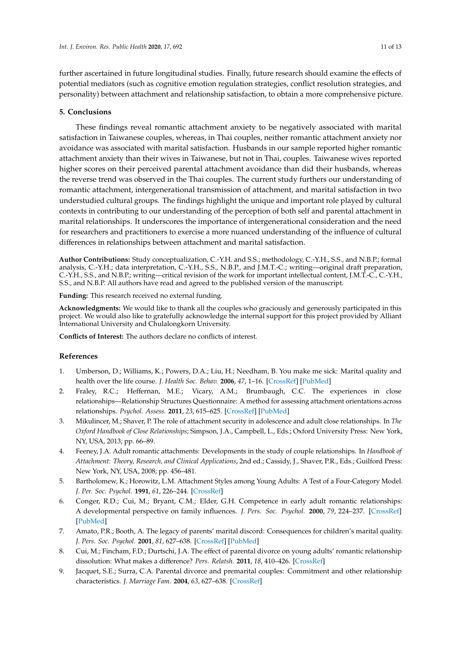further ascertained in future longitudinal studies. Finally, future research should examine the effects of potential mediators (such as cognitive emotion regulation strategies, conflict resolution strategies, and personality) between attachment and relationship satisfaction, to obtain a more comprehensive picture.

## **5. Conclusions**

These findings reveal romantic attachment anxiety to be negatively associated with marital satisfaction in Taiwanese couples, whereas, in Thai couples, neither romantic attachment anxiety nor avoidance was associated with marital satisfaction. Husbands in our sample reported higher romantic attachment anxiety than their wives in Taiwanese, but not in Thai, couples. Taiwanese wives reported higher scores on their perceived parental attachment avoidance than did their husbands, whereas the reverse trend was observed in the Thai couples. The current study furthers our understanding of romantic attachment, intergenerational transmission of attachment, and marital satisfaction in two understudied cultural groups. The findings highlight the unique and important role played by cultural contexts in contributing to our understanding of the perception of both self and parental attachment in marital relationships. It underscores the importance of intergenerational consideration and the need for researchers and practitioners to exercise a more nuanced understanding of the influence of cultural differences in relationships between attachment and marital satisfaction.

**Author Contributions:** Study conceptualization, C.-Y.H. and S.S.; methodology, C.-Y.H., S.S., and N.B.P.; formal analysis, C.-Y.H.; data interpretation, C.-Y.H., S.S., N.B.P., and J.M.T.-C.; writing—original draft preparation, C.-Y.H., S.S., and N.B.P.; writing—critical revision of the work for important intellectual content, J.M.T.-C., C.-Y.H., S.S., and N.B.P. All authors have read and agreed to the published version of the manuscript.

**Funding:** This research received no external funding.

**Acknowledgments:** We would like to thank all the couples who graciously and generously participated in this project. We would also like to gratefully acknowledge the internal support for this project provided by Alliant International University and Chulalongkorn University.

**Conflicts of Interest:** The authors declare no conflicts of interest.

## **References**

- <span id="page-10-0"></span>1. Umberson, D.; Williams, K.; Powers, D.A.; Liu, H.; Needham, B. You make me sick: Marital quality and health over the life course. *J. Health Soc. Behav.* **2006**, *47*, 1–16. [\[CrossRef\]](http://dx.doi.org/10.1177/002214650604700101) [\[PubMed\]](http://www.ncbi.nlm.nih.gov/pubmed/16583772)
- <span id="page-10-1"></span>2. Fraley, R.C.; Heffernan, M.E.; Vicary, A.M.; Brumbaugh, C.C. The experiences in close relationships—Relationship Structures Questionnaire: A method for assessing attachment orientations across relationships. *Psychol. Assess.* **2011**, *23*, 615–625. [\[CrossRef\]](http://dx.doi.org/10.1037/a0022898) [\[PubMed\]](http://www.ncbi.nlm.nih.gov/pubmed/21443364)
- <span id="page-10-2"></span>3. Mikulincer, M.; Shaver, P. The role of attachment security in adolescence and adult close relationships. In *The Oxford Handbook of Close Relationships*; Simpson, J.A., Campbell, L., Eds.; Oxford University Press: New York, NY, USA, 2013; pp. 66–89.
- <span id="page-10-3"></span>4. Feeney, J.A. Adult romantic attachments: Developments in the study of couple relationships. In *Handbook of Attachment: Theory, Research, and Clinical Applications*, 2nd ed.; Cassidy, J., Shaver, P.R., Eds.; Guilford Press: New York, NY, USA, 2008; pp. 456–481.
- <span id="page-10-4"></span>5. Bartholomew, K.; Horowitz, L.M. Attachment Styles among Young Adults: A Test of a Four-Category Model. *J. Per. Soc. Psychol.* **1991**, *61*, 226–244. [\[CrossRef\]](http://dx.doi.org/10.1037/0022-3514.61.2.226)
- <span id="page-10-5"></span>6. Conger, R.D.; Cui, M.; Bryant, C.M.; Elder, G.H. Competence in early adult romantic relationships: A developmental perspective on family influences. *J. Pers. Soc. Psychol.* **2000**, *79*, 224–237. [\[CrossRef\]](http://dx.doi.org/10.1037/0022-3514.79.2.224) [\[PubMed\]](http://www.ncbi.nlm.nih.gov/pubmed/10948976)
- <span id="page-10-6"></span>7. Amato, P.R.; Booth, A. The legacy of parents' marital discord: Consequences for children's marital quality. *J. Pers. Soc. Psychol.* **2001**, *81*, 627–638. [\[CrossRef\]](http://dx.doi.org/10.1037/0022-3514.81.4.627) [\[PubMed\]](http://www.ncbi.nlm.nih.gov/pubmed/11642350)
- <span id="page-10-7"></span>8. Cui, M.; Fincham, F.D.; Durtschi, J.A. The effect of parental divorce on young adults' romantic relationship dissolution: What makes a difference? *Pers. Relatsh.* **2011**, *18*, 410–426. [\[CrossRef\]](http://dx.doi.org/10.1111/j.1475-6811.2010.01306.x)
- <span id="page-10-8"></span>9. Jacquet, S.E.; Surra, C.A. Parental divorce and premarital couples: Commitment and other relationship characteristics. *J. Marriage Fam.* **2004**, *63*, 627–638. [\[CrossRef\]](http://dx.doi.org/10.1111/j.1741-3737.2001.00627.x)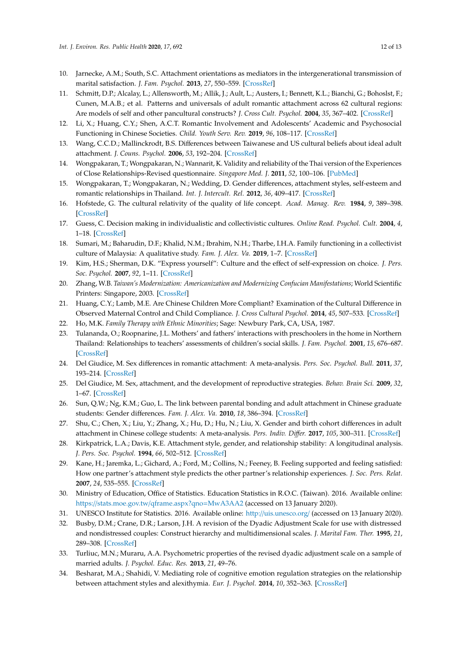- <span id="page-11-0"></span>10. Jarnecke, A.M.; South, S.C. Attachment orientations as mediators in the intergenerational transmission of marital satisfaction. *J. Fam. Psychol.* **2013**, *27*, 550–559. [\[CrossRef\]](http://dx.doi.org/10.1037/a0033340)
- <span id="page-11-1"></span>11. Schmitt, D.P.; Alcalay, L.; Allensworth, M.; Allik, J.; Ault, L.; Austers, I.; Bennett, K.L.; Bianchi, G.; Bohoslst, F.; Cunen, M.A.B.; et al. Patterns and universals of adult romantic attachment across 62 cultural regions: Are models of self and other pancultural constructs? *J. Cross Cult. Psychol.* **2004**, *35*, 367–402. [\[CrossRef\]](http://dx.doi.org/10.1177/0022022104266105)
- <span id="page-11-2"></span>12. Li, X.; Huang, C.Y.; Shen, A.C.T. Romantic Involvement and Adolescents' Academic and Psychosocial Functioning in Chinese Societies. *Child. Youth Serv. Rev.* **2019**, *96*, 108–117. [\[CrossRef\]](http://dx.doi.org/10.1016/j.childyouth.2018.11.036)
- <span id="page-11-3"></span>13. Wang, C.C.D.; Mallinckrodt, B.S. Differences between Taiwanese and US cultural beliefs about ideal adult attachment. *J. Couns. Psychol.* **2006**, *53*, 192–204. [\[CrossRef\]](http://dx.doi.org/10.1037/0022-0167.53.2.192)
- <span id="page-11-4"></span>14. Wongpakaran, T.; Wongpakaran, N.; Wannarit, K. Validity and reliability of the Thai version of the Experiences of Close Relationships-Revised questionnaire. *Singapore Med. J.* **2011**, *52*, 100–106. [\[PubMed\]](http://www.ncbi.nlm.nih.gov/pubmed/21373736)
- <span id="page-11-5"></span>15. Wongpakaran, T.; Wongpakaran, N.; Wedding, D. Gender differences, attachment styles, self-esteem and romantic relationships in Thailand. *Int. J. Intercult. Rel.* **2012**, *36*, 409–417. [\[CrossRef\]](http://dx.doi.org/10.1016/j.ijintrel.2011.12.001)
- <span id="page-11-6"></span>16. Hofstede, G. The cultural relativity of the quality of life concept. *Acad. Manag. Rev.* **1984**, *9*, 389–398. [\[CrossRef\]](http://dx.doi.org/10.5465/amr.1984.4279653)
- <span id="page-11-7"></span>17. Guess, C. Decision making in individualistic and collectivistic cultures. *Online Read. Psychol. Cult.* **2004**, *4*, 1–18. [\[CrossRef\]](http://dx.doi.org/10.9707/2307-0919.1032)
- <span id="page-11-8"></span>18. Sumari, M.; Baharudin, D.F.; Khalid, N.M.; Ibrahim, N.H.; Tharbe, I.H.A. Family functioning in a collectivist culture of Malaysia: A qualitative study. *Fam. J. Alex. Va.* **2019**, 1–7. [\[CrossRef\]](http://dx.doi.org/10.1177/1066480719844334)
- <span id="page-11-9"></span>19. Kim, H.S.; Sherman, D.K. "Express yourself": Culture and the effect of self-expression on choice. *J. Pers. Soc. Psychol.* **2007**, *92*, 1–11. [\[CrossRef\]](http://dx.doi.org/10.1037/0022-3514.92.1.1)
- <span id="page-11-10"></span>20. Zhang, W.B. *Taiwan's Modernization: Americanization and Modernizing Confucian Manifestations*; World Scientific Printers: Singapore, 2003. [\[CrossRef\]](http://dx.doi.org/10.2307/4127936)
- <span id="page-11-11"></span>21. Huang, C.Y.; Lamb, M.E. Are Chinese Children More Compliant? Examination of the Cultural Difference in Observed Maternal Control and Child Compliance. *J. Cross Cultural Psychol.* **2014**, *45*, 507–533. [\[CrossRef\]](http://dx.doi.org/10.1177/0022022113513652)
- <span id="page-11-12"></span>22. Ho, M.K. *Family Therapy with Ethnic Minorities*; Sage: Newbury Park, CA, USA, 1987.
- <span id="page-11-13"></span>23. Tulananda, O.; Roopnarine, J.L. Mothers' and fathers' interactions with preschoolers in the home in Northern Thailand: Relationships to teachers' assessments of children's social skills. *J. Fam. Psychol.* **2001**, *15*, 676–687. [\[CrossRef\]](http://dx.doi.org/10.1037/0893-3200.15.4.676)
- <span id="page-11-14"></span>24. Del Giudice, M. Sex differences in romantic attachment: A meta-analysis. *Pers. Soc. Psychol. Bull.* **2011**, *37*, 193–214. [\[CrossRef\]](http://dx.doi.org/10.1177/0146167210392789)
- <span id="page-11-15"></span>25. Del Giudice, M. Sex, attachment, and the development of reproductive strategies. *Behav. Brain Sci.* **2009**, *32*, 1–67. [\[CrossRef\]](http://dx.doi.org/10.1017/S0140525X09000016)
- <span id="page-11-16"></span>26. Sun, Q.W.; Ng, K.M.; Guo, L. The link between parental bonding and adult attachment in Chinese graduate students: Gender differences. *Fam. J. Alex. Va.* **2010**, *18*, 386–394. [\[CrossRef\]](http://dx.doi.org/10.1177/1066480710372920)
- <span id="page-11-17"></span>27. Shu, C.; Chen, X.; Liu, Y.; Zhang, X.; Hu, D.; Hu, N.; Liu, X. Gender and birth cohort differences in adult attachment in Chinese college students: A meta-analysis. *Pers. Indiv. Di*ff*er.* **2017**, *105*, 300–311. [\[CrossRef\]](http://dx.doi.org/10.1016/j.paid.2016.10.012)
- <span id="page-11-18"></span>28. Kirkpatrick, L.A.; Davis, K.E. Attachment style, gender, and relationship stability: A longitudinal analysis. *J. Pers. Soc. Psychol.* **1994**, *66*, 502–512. [\[CrossRef\]](http://dx.doi.org/10.1037/0022-3514.66.3.502)
- <span id="page-11-19"></span>29. Kane, H.; Jaremka, L.; Gichard, A.; Ford, M.; Collins, N.; Feeney, B. Feeling supported and feeling satisfied: How one partner's attachment style predicts the other partner's relationship experiences. *J. Soc. Pers. Relat.* **2007**, *24*, 535–555. [\[CrossRef\]](http://dx.doi.org/10.1177/0265407507079245)
- <span id="page-11-20"></span>30. Ministry of Education, Office of Statistics. Education Statistics in R.O.C. (Taiwan). 2016. Available online: https://stats.moe.gov.tw/[qframe.aspx?qno](https://stats.moe.gov.tw/qframe.aspx?qno=MwA3AA2)=MwA3AA2 (accessed on 13 January 2020).
- <span id="page-11-21"></span>31. UNESCO Institute for Statistics. 2016. Available online: http://[uis.unesco.org](http://uis.unesco.org/)/ (accessed on 13 January 2020).
- <span id="page-11-22"></span>32. Busby, D.M.; Crane, D.R.; Larson, J.H. A revision of the Dyadic Adjustment Scale for use with distressed and nondistressed couples: Construct hierarchy and multidimensional scales. *J. Marital Fam. Ther.* **1995**, *21*, 289–308. [\[CrossRef\]](http://dx.doi.org/10.1111/j.1752-0606.1995.tb00163.x)
- <span id="page-11-23"></span>33. Turliuc, M.N.; Muraru, A.A. Psychometric properties of the revised dyadic adjustment scale on a sample of married adults. *J. Psychol. Educ. Res.* **2013**, *21*, 49–76.
- <span id="page-11-24"></span>34. Besharat, M.A.; Shahidi, V. Mediating role of cognitive emotion regulation strategies on the relationship between attachment styles and alexithymia. *Eur. J. Psychol.* **2014**, *10*, 352–363. [\[CrossRef\]](http://dx.doi.org/10.5964/ejop.v10i2.671)